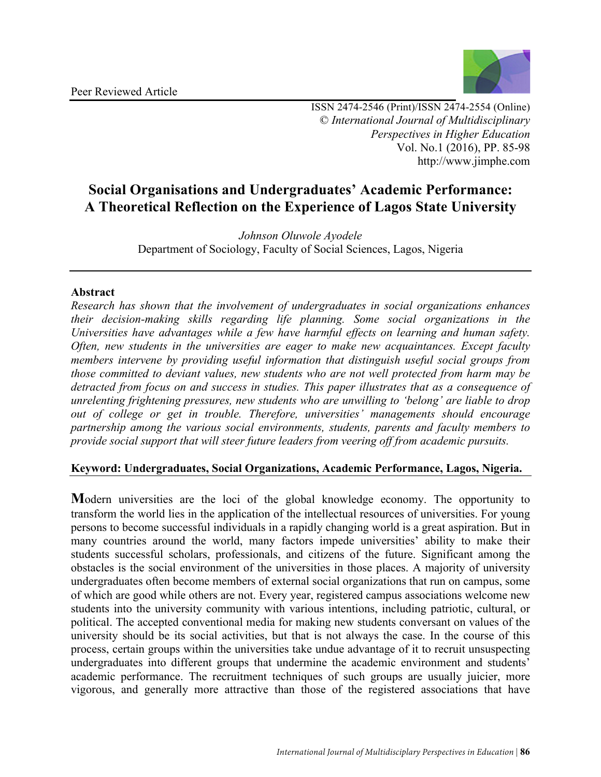

ISSN 2474-2546 (Print)/ISSN 2474-2554 (Online) © *International Journal of Multidisciplinary Perspectives in Higher Education* Vol. No.1 (2016), PP. 85-98 http://www.jimphe.com

# **Social Organisations and Undergraduates' Academic Performance: A Theoretical Reflection on the Experience of Lagos State University**

*Johnson Oluwole Ayodele* Department of Sociology, Faculty of Social Sciences, Lagos, Nigeria

# **Abstract**

*Research has shown that the involvement of undergraduates in social organizations enhances their decision-making skills regarding life planning. Some social organizations in the Universities have advantages while a few have harmful effects on learning and human safety. Often, new students in the universities are eager to make new acquaintances. Except faculty members intervene by providing useful information that distinguish useful social groups from those committed to deviant values, new students who are not well protected from harm may be detracted from focus on and success in studies. This paper illustrates that as a consequence of unrelenting frightening pressures, new students who are unwilling to 'belong' are liable to drop out of college or get in trouble. Therefore, universities' managements should encourage partnership among the various social environments, students, parents and faculty members to provide social support that will steer future leaders from veering off from academic pursuits.*

# **Keyword: Undergraduates, Social Organizations, Academic Performance, Lagos, Nigeria.**

**M**odern universities are the loci of the global knowledge economy. The opportunity to transform the world lies in the application of the intellectual resources of universities. For young persons to become successful individuals in a rapidly changing world is a great aspiration. But in many countries around the world, many factors impede universities' ability to make their students successful scholars, professionals, and citizens of the future. Significant among the obstacles is the social environment of the universities in those places. A majority of university undergraduates often become members of external social organizations that run on campus, some of which are good while others are not. Every year, registered campus associations welcome new students into the university community with various intentions, including patriotic, cultural, or political. The accepted conventional media for making new students conversant on values of the university should be its social activities, but that is not always the case. In the course of this process, certain groups within the universities take undue advantage of it to recruit unsuspecting undergraduates into different groups that undermine the academic environment and students' academic performance. The recruitment techniques of such groups are usually juicier, more vigorous, and generally more attractive than those of the registered associations that have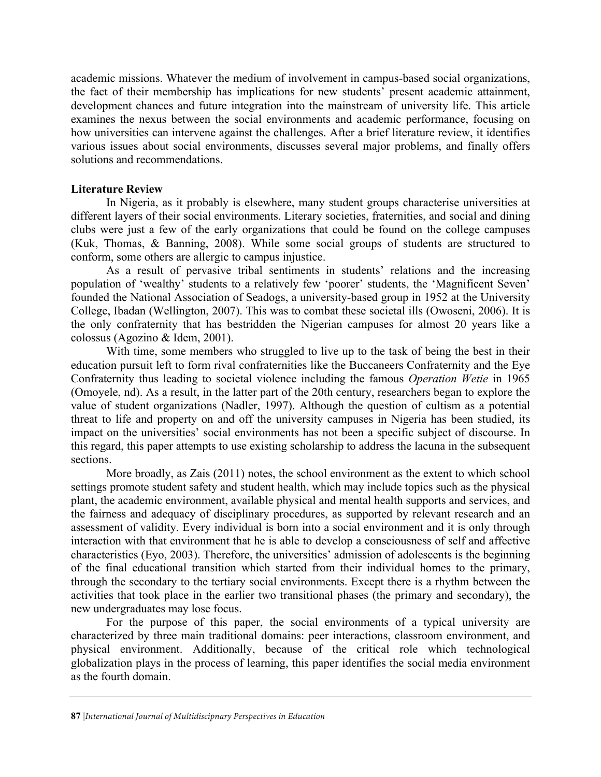academic missions. Whatever the medium of involvement in campus-based social organizations, the fact of their membership has implications for new students' present academic attainment, development chances and future integration into the mainstream of university life. This article examines the nexus between the social environments and academic performance, focusing on how universities can intervene against the challenges. After a brief literature review, it identifies various issues about social environments, discusses several major problems, and finally offers solutions and recommendations.

## **Literature Review**

In Nigeria, as it probably is elsewhere, many student groups characterise universities at different layers of their social environments. Literary societies, fraternities, and social and dining clubs were just a few of the early organizations that could be found on the college campuses (Kuk, Thomas, & Banning, 2008). While some social groups of students are structured to conform, some others are allergic to campus injustice.

As a result of pervasive tribal sentiments in students' relations and the increasing population of 'wealthy' students to a relatively few 'poorer' students, the 'Magnificent Seven' founded the National Association of Seadogs, a university-based group in 1952 at the University College, Ibadan (Wellington, 2007). This was to combat these societal ills (Owoseni, 2006). It is the only confraternity that has bestridden the Nigerian campuses for almost 20 years like a colossus (Agozino & Idem, 2001).

With time, some members who struggled to live up to the task of being the best in their education pursuit left to form rival confraternities like the Buccaneers Confraternity and the Eye Confraternity thus leading to societal violence including the famous *Operation Wetie* in 1965 (Omoyele, nd). As a result, in the latter part of the 20th century, researchers began to explore the value of student organizations (Nadler, 1997). Although the question of cultism as a potential threat to life and property on and off the university campuses in Nigeria has been studied, its impact on the universities' social environments has not been a specific subject of discourse. In this regard, this paper attempts to use existing scholarship to address the lacuna in the subsequent sections.

More broadly, as Zais (2011) notes, the school environment as the extent to which school settings promote student safety and student health, which may include topics such as the physical plant, the academic environment, available physical and mental health supports and services, and the fairness and adequacy of disciplinary procedures, as supported by relevant research and an assessment of validity. Every individual is born into a social environment and it is only through interaction with that environment that he is able to develop a consciousness of self and affective characteristics (Eyo, 2003). Therefore, the universities' admission of adolescents is the beginning of the final educational transition which started from their individual homes to the primary, through the secondary to the tertiary social environments. Except there is a rhythm between the activities that took place in the earlier two transitional phases (the primary and secondary), the new undergraduates may lose focus.

For the purpose of this paper, the social environments of a typical university are characterized by three main traditional domains: peer interactions, classroom environment, and physical environment. Additionally, because of the critical role which technological globalization plays in the process of learning, this paper identifies the social media environment as the fourth domain.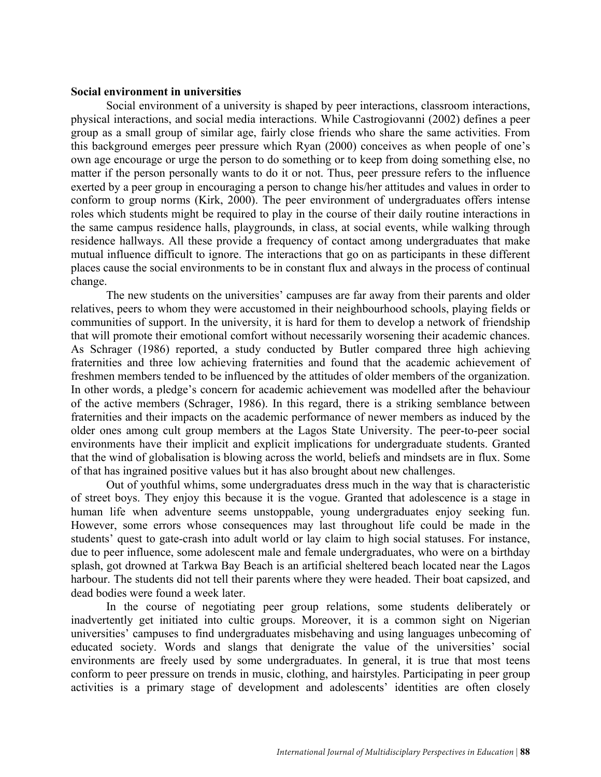#### **Social environment in universities**

Social environment of a university is shaped by peer interactions, classroom interactions, physical interactions, and social media interactions. While Castrogiovanni (2002) defines a peer group as a small group of similar age, fairly close friends who share the same activities. From this background emerges peer pressure which Ryan (2000) conceives as when people of one's own age encourage or urge the person to do something or to keep from doing something else, no matter if the person personally wants to do it or not. Thus, peer pressure refers to the influence exerted by a peer group in encouraging a person to change his/her attitudes and values in order to conform to group norms (Kirk, 2000). The peer environment of undergraduates offers intense roles which students might be required to play in the course of their daily routine interactions in the same campus residence halls, playgrounds, in class, at social events, while walking through residence hallways. All these provide a frequency of contact among undergraduates that make mutual influence difficult to ignore. The interactions that go on as participants in these different places cause the social environments to be in constant flux and always in the process of continual change.

The new students on the universities' campuses are far away from their parents and older relatives, peers to whom they were accustomed in their neighbourhood schools, playing fields or communities of support. In the university, it is hard for them to develop a network of friendship that will promote their emotional comfort without necessarily worsening their academic chances. As Schrager (1986) reported, a study conducted by Butler compared three high achieving fraternities and three low achieving fraternities and found that the academic achievement of freshmen members tended to be influenced by the attitudes of older members of the organization. In other words, a pledge's concern for academic achievement was modelled after the behaviour of the active members (Schrager, 1986). In this regard, there is a striking semblance between fraternities and their impacts on the academic performance of newer members as induced by the older ones among cult group members at the Lagos State University. The peer-to-peer social environments have their implicit and explicit implications for undergraduate students. Granted that the wind of globalisation is blowing across the world, beliefs and mindsets are in flux. Some of that has ingrained positive values but it has also brought about new challenges.

Out of youthful whims, some undergraduates dress much in the way that is characteristic of street boys. They enjoy this because it is the vogue. Granted that adolescence is a stage in human life when adventure seems unstoppable, young undergraduates enjoy seeking fun. However, some errors whose consequences may last throughout life could be made in the students' quest to gate-crash into adult world or lay claim to high social statuses. For instance, due to peer influence, some adolescent male and female undergraduates, who were on a birthday splash, got drowned at Tarkwa Bay Beach is an artificial sheltered beach located near the Lagos harbour. The students did not tell their parents where they were headed. Their boat capsized, and dead bodies were found a week later.

In the course of negotiating peer group relations, some students deliberately or inadvertently get initiated into cultic groups. Moreover, it is a common sight on Nigerian universities' campuses to find undergraduates misbehaving and using languages unbecoming of educated society. Words and slangs that denigrate the value of the universities' social environments are freely used by some undergraduates. In general, it is true that most teens conform to peer pressure on trends in music, clothing, and hairstyles. Participating in peer group activities is a primary stage of development and adolescents' identities are often closely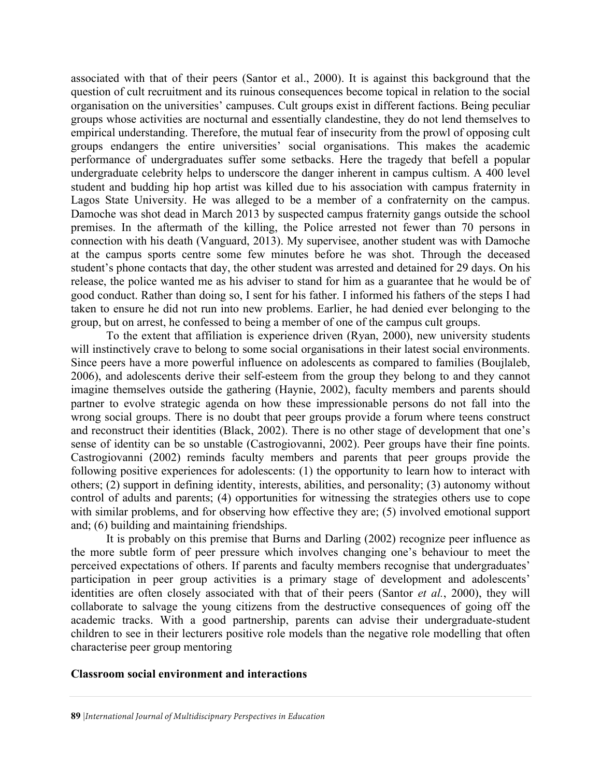associated with that of their peers (Santor et al., 2000). It is against this background that the question of cult recruitment and its ruinous consequences become topical in relation to the social organisation on the universities' campuses. Cult groups exist in different factions. Being peculiar groups whose activities are nocturnal and essentially clandestine, they do not lend themselves to empirical understanding. Therefore, the mutual fear of insecurity from the prowl of opposing cult groups endangers the entire universities' social organisations. This makes the academic performance of undergraduates suffer some setbacks. Here the tragedy that befell a popular undergraduate celebrity helps to underscore the danger inherent in campus cultism. A 400 level student and budding hip hop artist was killed due to his association with campus fraternity in Lagos State University. He was alleged to be a member of a confraternity on the campus. Damoche was shot dead in March 2013 by suspected campus fraternity gangs outside the school premises. In the aftermath of the killing, the Police arrested not fewer than 70 persons in connection with his death (Vanguard, 2013). My supervisee, another student was with Damoche at the campus sports centre some few minutes before he was shot. Through the deceased student's phone contacts that day, the other student was arrested and detained for 29 days. On his release, the police wanted me as his adviser to stand for him as a guarantee that he would be of good conduct. Rather than doing so, I sent for his father. I informed his fathers of the steps I had taken to ensure he did not run into new problems. Earlier, he had denied ever belonging to the group, but on arrest, he confessed to being a member of one of the campus cult groups.

To the extent that affiliation is experience driven (Ryan, 2000), new university students will instinctively crave to belong to some social organisations in their latest social environments. Since peers have a more powerful influence on adolescents as compared to families (Boujlaleb, 2006), and adolescents derive their self-esteem from the group they belong to and they cannot imagine themselves outside the gathering (Haynie, 2002), faculty members and parents should partner to evolve strategic agenda on how these impressionable persons do not fall into the wrong social groups. There is no doubt that peer groups provide a forum where teens construct and reconstruct their identities (Black, 2002). There is no other stage of development that one's sense of identity can be so unstable (Castrogiovanni, 2002). Peer groups have their fine points. Castrogiovanni (2002) reminds faculty members and parents that peer groups provide the following positive experiences for adolescents: (1) the opportunity to learn how to interact with others; (2) support in defining identity, interests, abilities, and personality; (3) autonomy without control of adults and parents; (4) opportunities for witnessing the strategies others use to cope with similar problems, and for observing how effective they are; (5) involved emotional support and; (6) building and maintaining friendships.

It is probably on this premise that Burns and Darling (2002) recognize peer influence as the more subtle form of peer pressure which involves changing one's behaviour to meet the perceived expectations of others. If parents and faculty members recognise that undergraduates' participation in peer group activities is a primary stage of development and adolescents' identities are often closely associated with that of their peers (Santor *et al.*, 2000), they will collaborate to salvage the young citizens from the destructive consequences of going off the academic tracks. With a good partnership, parents can advise their undergraduate-student children to see in their lecturers positive role models than the negative role modelling that often characterise peer group mentoring

## **Classroom social environment and interactions**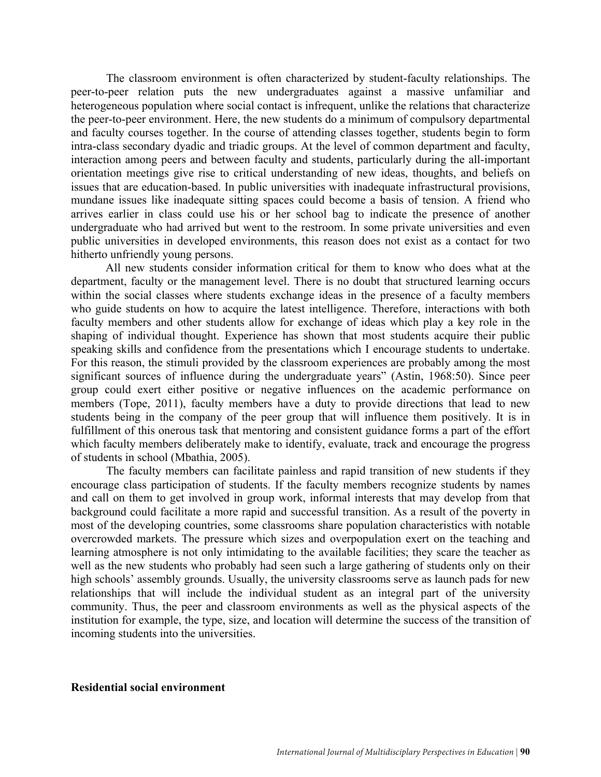The classroom environment is often characterized by student-faculty relationships. The peer-to-peer relation puts the new undergraduates against a massive unfamiliar and heterogeneous population where social contact is infrequent, unlike the relations that characterize the peer-to-peer environment. Here, the new students do a minimum of compulsory departmental and faculty courses together. In the course of attending classes together, students begin to form intra-class secondary dyadic and triadic groups. At the level of common department and faculty, interaction among peers and between faculty and students, particularly during the all-important orientation meetings give rise to critical understanding of new ideas, thoughts, and beliefs on issues that are education-based. In public universities with inadequate infrastructural provisions, mundane issues like inadequate sitting spaces could become a basis of tension. A friend who arrives earlier in class could use his or her school bag to indicate the presence of another undergraduate who had arrived but went to the restroom. In some private universities and even public universities in developed environments, this reason does not exist as a contact for two hitherto unfriendly young persons.

All new students consider information critical for them to know who does what at the department, faculty or the management level. There is no doubt that structured learning occurs within the social classes where students exchange ideas in the presence of a faculty members who guide students on how to acquire the latest intelligence. Therefore, interactions with both faculty members and other students allow for exchange of ideas which play a key role in the shaping of individual thought. Experience has shown that most students acquire their public speaking skills and confidence from the presentations which I encourage students to undertake. For this reason, the stimuli provided by the classroom experiences are probably among the most significant sources of influence during the undergraduate years" (Astin, 1968:50). Since peer group could exert either positive or negative influences on the academic performance on members (Tope, 2011), faculty members have a duty to provide directions that lead to new students being in the company of the peer group that will influence them positively. It is in fulfillment of this onerous task that mentoring and consistent guidance forms a part of the effort which faculty members deliberately make to identify, evaluate, track and encourage the progress of students in school (Mbathia, 2005).

The faculty members can facilitate painless and rapid transition of new students if they encourage class participation of students. If the faculty members recognize students by names and call on them to get involved in group work, informal interests that may develop from that background could facilitate a more rapid and successful transition. As a result of the poverty in most of the developing countries, some classrooms share population characteristics with notable overcrowded markets. The pressure which sizes and overpopulation exert on the teaching and learning atmosphere is not only intimidating to the available facilities; they scare the teacher as well as the new students who probably had seen such a large gathering of students only on their high schools' assembly grounds. Usually, the university classrooms serve as launch pads for new relationships that will include the individual student as an integral part of the university community. Thus, the peer and classroom environments as well as the physical aspects of the institution for example, the type, size, and location will determine the success of the transition of incoming students into the universities.

#### **Residential social environment**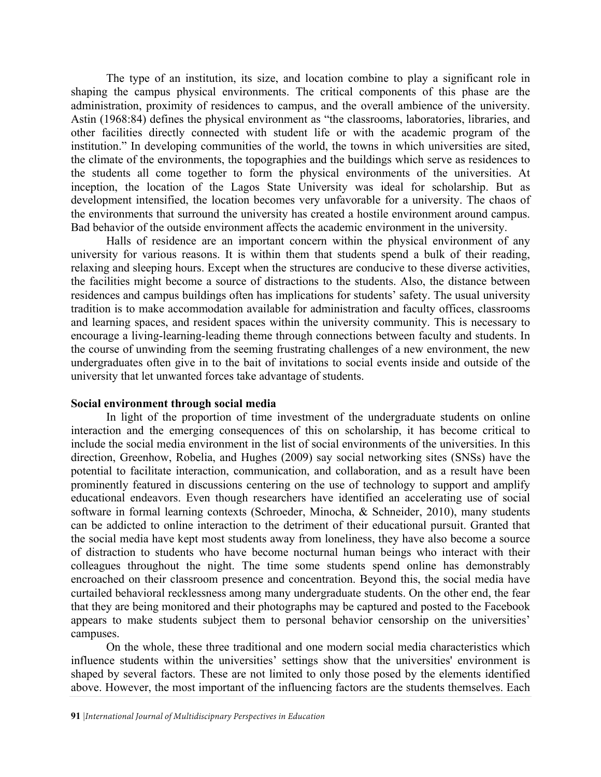The type of an institution, its size, and location combine to play a significant role in shaping the campus physical environments. The critical components of this phase are the administration, proximity of residences to campus, and the overall ambience of the university. Astin (1968:84) defines the physical environment as "the classrooms, laboratories, libraries, and other facilities directly connected with student life or with the academic program of the institution." In developing communities of the world, the towns in which universities are sited, the climate of the environments, the topographies and the buildings which serve as residences to the students all come together to form the physical environments of the universities. At inception, the location of the Lagos State University was ideal for scholarship. But as development intensified, the location becomes very unfavorable for a university. The chaos of the environments that surround the university has created a hostile environment around campus. Bad behavior of the outside environment affects the academic environment in the university.

Halls of residence are an important concern within the physical environment of any university for various reasons. It is within them that students spend a bulk of their reading, relaxing and sleeping hours. Except when the structures are conducive to these diverse activities, the facilities might become a source of distractions to the students. Also, the distance between residences and campus buildings often has implications for students' safety. The usual university tradition is to make accommodation available for administration and faculty offices, classrooms and learning spaces, and resident spaces within the university community. This is necessary to encourage a living-learning-leading theme through connections between faculty and students. In the course of unwinding from the seeming frustrating challenges of a new environment, the new undergraduates often give in to the bait of invitations to social events inside and outside of the university that let unwanted forces take advantage of students.

#### **Social environment through social media**

In light of the proportion of time investment of the undergraduate students on online interaction and the emerging consequences of this on scholarship, it has become critical to include the social media environment in the list of social environments of the universities. In this direction, Greenhow, Robelia, and Hughes (2009) say social networking sites (SNSs) have the potential to facilitate interaction, communication, and collaboration, and as a result have been prominently featured in discussions centering on the use of technology to support and amplify educational endeavors. Even though researchers have identified an accelerating use of social software in formal learning contexts (Schroeder, Minocha, & Schneider, 2010), many students can be addicted to online interaction to the detriment of their educational pursuit. Granted that the social media have kept most students away from loneliness, they have also become a source of distraction to students who have become nocturnal human beings who interact with their colleagues throughout the night. The time some students spend online has demonstrably encroached on their classroom presence and concentration. Beyond this, the social media have curtailed behavioral recklessness among many undergraduate students. On the other end, the fear that they are being monitored and their photographs may be captured and posted to the Facebook appears to make students subject them to personal behavior censorship on the universities' campuses.

On the whole, these three traditional and one modern social media characteristics which influence students within the universities' settings show that the universities' environment is shaped by several factors. These are not limited to only those posed by the elements identified above. However, the most important of the influencing factors are the students themselves. Each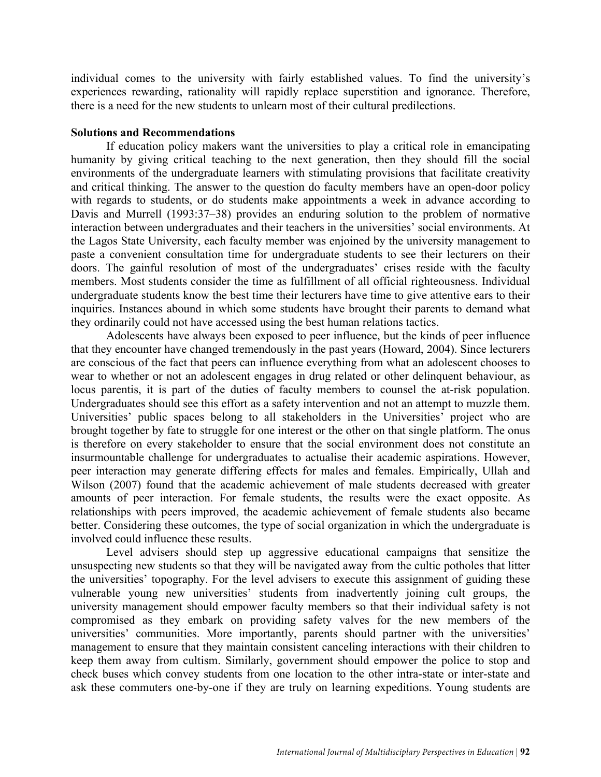individual comes to the university with fairly established values. To find the university's experiences rewarding, rationality will rapidly replace superstition and ignorance. Therefore, there is a need for the new students to unlearn most of their cultural predilections.

#### **Solutions and Recommendations**

If education policy makers want the universities to play a critical role in emancipating humanity by giving critical teaching to the next generation, then they should fill the social environments of the undergraduate learners with stimulating provisions that facilitate creativity and critical thinking. The answer to the question do faculty members have an open-door policy with regards to students, or do students make appointments a week in advance according to Davis and Murrell (1993:37–38) provides an enduring solution to the problem of normative interaction between undergraduates and their teachers in the universities' social environments. At the Lagos State University, each faculty member was enjoined by the university management to paste a convenient consultation time for undergraduate students to see their lecturers on their doors. The gainful resolution of most of the undergraduates' crises reside with the faculty members. Most students consider the time as fulfillment of all official righteousness. Individual undergraduate students know the best time their lecturers have time to give attentive ears to their inquiries. Instances abound in which some students have brought their parents to demand what they ordinarily could not have accessed using the best human relations tactics.

Adolescents have always been exposed to peer influence, but the kinds of peer influence that they encounter have changed tremendously in the past years (Howard, 2004). Since lecturers are conscious of the fact that peers can influence everything from what an adolescent chooses to wear to whether or not an adolescent engages in drug related or other delinquent behaviour, as locus parentis, it is part of the duties of faculty members to counsel the at-risk population. Undergraduates should see this effort as a safety intervention and not an attempt to muzzle them. Universities' public spaces belong to all stakeholders in the Universities' project who are brought together by fate to struggle for one interest or the other on that single platform. The onus is therefore on every stakeholder to ensure that the social environment does not constitute an insurmountable challenge for undergraduates to actualise their academic aspirations. However, peer interaction may generate differing effects for males and females. Empirically, Ullah and Wilson (2007) found that the academic achievement of male students decreased with greater amounts of peer interaction. For female students, the results were the exact opposite. As relationships with peers improved, the academic achievement of female students also became better. Considering these outcomes, the type of social organization in which the undergraduate is involved could influence these results.

Level advisers should step up aggressive educational campaigns that sensitize the unsuspecting new students so that they will be navigated away from the cultic potholes that litter the universities' topography. For the level advisers to execute this assignment of guiding these vulnerable young new universities' students from inadvertently joining cult groups, the university management should empower faculty members so that their individual safety is not compromised as they embark on providing safety valves for the new members of the universities' communities. More importantly, parents should partner with the universities' management to ensure that they maintain consistent canceling interactions with their children to keep them away from cultism. Similarly, government should empower the police to stop and check buses which convey students from one location to the other intra-state or inter-state and ask these commuters one-by-one if they are truly on learning expeditions. Young students are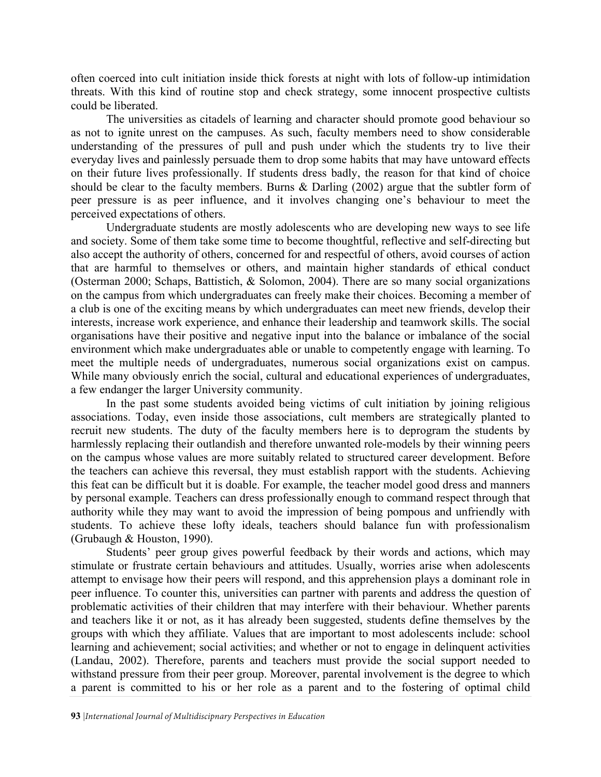often coerced into cult initiation inside thick forests at night with lots of follow-up intimidation threats. With this kind of routine stop and check strategy, some innocent prospective cultists could be liberated.

The universities as citadels of learning and character should promote good behaviour so as not to ignite unrest on the campuses. As such, faculty members need to show considerable understanding of the pressures of pull and push under which the students try to live their everyday lives and painlessly persuade them to drop some habits that may have untoward effects on their future lives professionally. If students dress badly, the reason for that kind of choice should be clear to the faculty members. Burns & Darling (2002) argue that the subtler form of peer pressure is as peer influence, and it involves changing one's behaviour to meet the perceived expectations of others.

Undergraduate students are mostly adolescents who are developing new ways to see life and society. Some of them take some time to become thoughtful, reflective and self-directing but also accept the authority of others, concerned for and respectful of others, avoid courses of action that are harmful to themselves or others, and maintain higher standards of ethical conduct (Osterman 2000; Schaps, Battistich, & Solomon, 2004). There are so many social organizations on the campus from which undergraduates can freely make their choices. Becoming a member of a club is one of the exciting means by which undergraduates can meet new friends, develop their interests, increase work experience, and enhance their leadership and teamwork skills. The social organisations have their positive and negative input into the balance or imbalance of the social environment which make undergraduates able or unable to competently engage with learning. To meet the multiple needs of undergraduates, numerous social organizations exist on campus. While many obviously enrich the social, cultural and educational experiences of undergraduates, a few endanger the larger University community.

In the past some students avoided being victims of cult initiation by joining religious associations. Today, even inside those associations, cult members are strategically planted to recruit new students. The duty of the faculty members here is to deprogram the students by harmlessly replacing their outlandish and therefore unwanted role-models by their winning peers on the campus whose values are more suitably related to structured career development. Before the teachers can achieve this reversal, they must establish rapport with the students. Achieving this feat can be difficult but it is doable. For example, the teacher model good dress and manners by personal example. Teachers can dress professionally enough to command respect through that authority while they may want to avoid the impression of being pompous and unfriendly with students. To achieve these lofty ideals, teachers should balance fun with professionalism (Grubaugh & Houston, 1990).

Students' peer group gives powerful feedback by their words and actions, which may stimulate or frustrate certain behaviours and attitudes. Usually, worries arise when adolescents attempt to envisage how their peers will respond, and this apprehension plays a dominant role in peer influence. To counter this, universities can partner with parents and address the question of problematic activities of their children that may interfere with their behaviour. Whether parents and teachers like it or not, as it has already been suggested, students define themselves by the groups with which they affiliate. Values that are important to most adolescents include: school learning and achievement; social activities; and whether or not to engage in delinquent activities (Landau, 2002). Therefore, parents and teachers must provide the social support needed to withstand pressure from their peer group. Moreover, parental involvement is the degree to which a parent is committed to his or her role as a parent and to the fostering of optimal child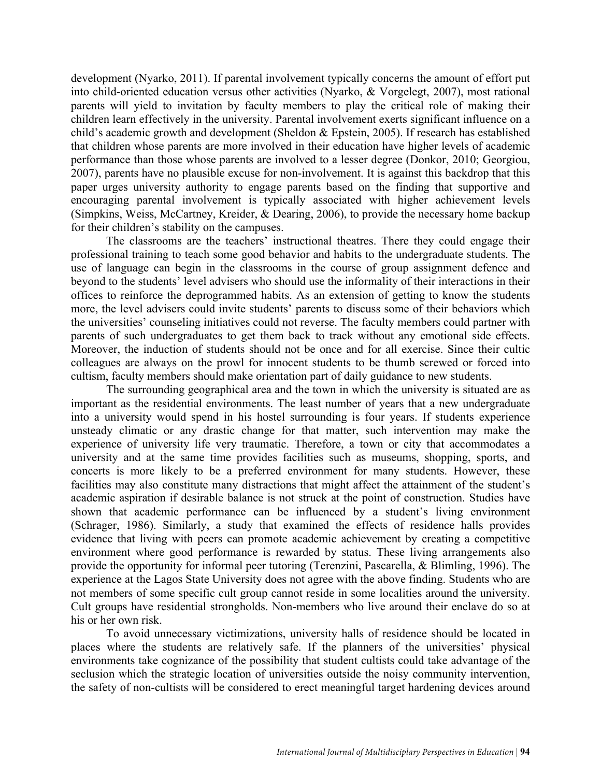development (Nyarko, 2011). If parental involvement typically concerns the amount of effort put into child-oriented education versus other activities (Nyarko, & Vorgelegt, 2007), most rational parents will yield to invitation by faculty members to play the critical role of making their children learn effectively in the university. Parental involvement exerts significant influence on a child's academic growth and development (Sheldon & Epstein, 2005). If research has established that children whose parents are more involved in their education have higher levels of academic performance than those whose parents are involved to a lesser degree (Donkor, 2010; Georgiou, 2007), parents have no plausible excuse for non-involvement. It is against this backdrop that this paper urges university authority to engage parents based on the finding that supportive and encouraging parental involvement is typically associated with higher achievement levels (Simpkins, Weiss, McCartney, Kreider, & Dearing, 2006), to provide the necessary home backup for their children's stability on the campuses.

The classrooms are the teachers' instructional theatres. There they could engage their professional training to teach some good behavior and habits to the undergraduate students. The use of language can begin in the classrooms in the course of group assignment defence and beyond to the students' level advisers who should use the informality of their interactions in their offices to reinforce the deprogrammed habits. As an extension of getting to know the students more, the level advisers could invite students' parents to discuss some of their behaviors which the universities' counseling initiatives could not reverse. The faculty members could partner with parents of such undergraduates to get them back to track without any emotional side effects. Moreover, the induction of students should not be once and for all exercise. Since their cultic colleagues are always on the prowl for innocent students to be thumb screwed or forced into cultism, faculty members should make orientation part of daily guidance to new students.

The surrounding geographical area and the town in which the university is situated are as important as the residential environments. The least number of years that a new undergraduate into a university would spend in his hostel surrounding is four years. If students experience unsteady climatic or any drastic change for that matter, such intervention may make the experience of university life very traumatic. Therefore, a town or city that accommodates a university and at the same time provides facilities such as museums, shopping, sports, and concerts is more likely to be a preferred environment for many students. However, these facilities may also constitute many distractions that might affect the attainment of the student's academic aspiration if desirable balance is not struck at the point of construction. Studies have shown that academic performance can be influenced by a student's living environment (Schrager, 1986). Similarly, a study that examined the effects of residence halls provides evidence that living with peers can promote academic achievement by creating a competitive environment where good performance is rewarded by status. These living arrangements also provide the opportunity for informal peer tutoring (Terenzini, Pascarella, & Blimling, 1996). The experience at the Lagos State University does not agree with the above finding. Students who are not members of some specific cult group cannot reside in some localities around the university. Cult groups have residential strongholds. Non-members who live around their enclave do so at his or her own risk.

To avoid unnecessary victimizations, university halls of residence should be located in places where the students are relatively safe. If the planners of the universities' physical environments take cognizance of the possibility that student cultists could take advantage of the seclusion which the strategic location of universities outside the noisy community intervention, the safety of non-cultists will be considered to erect meaningful target hardening devices around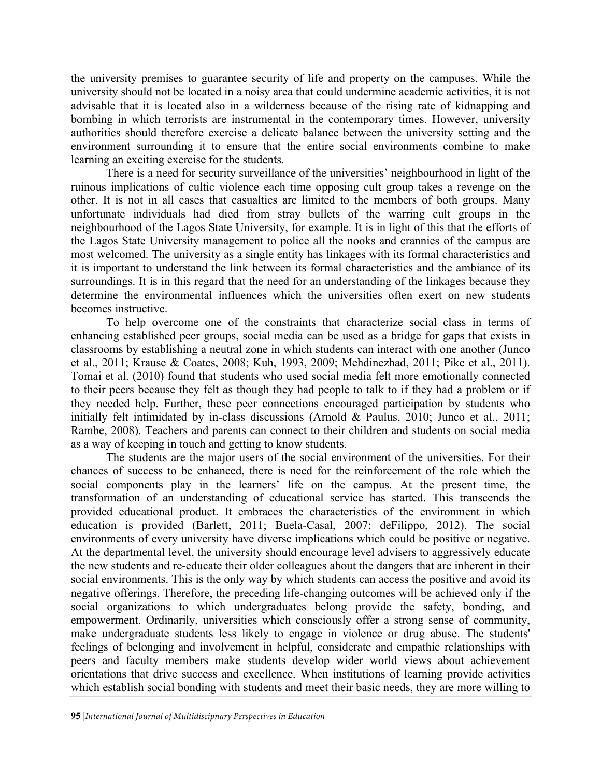the university premises to guarantee security of life and property on the campuses. While the university should not be located in a noisy area that could undermine academic activities, it is not advisable that it is located also in a wilderness because of the rising rate of kidnapping and bombing in which terrorists are instrumental in the contemporary times. However, university authorities should therefore exercise a delicate balance between the university setting and the environment surrounding it to ensure that the entire social environments combine to make learning an exciting exercise for the students.

There is a need for security surveillance of the universities' neighbourhood in light of the ruinous implications of cultic violence each time opposing cult group takes a revenge on the other. It is not in all cases that casualties are limited to the members of both groups. Many unfortunate individuals had died from stray bullets of the warring cult groups in the neighbourhood of the Lagos State University, for example. It is in light of this that the efforts of the Lagos State University management to police all the nooks and crannies of the campus are most welcomed. The university as a single entity has linkages with its formal characteristics and it is important to understand the link between its formal characteristics and the ambiance of its surroundings. It is in this regard that the need for an understanding of the linkages because they determine the environmental influences which the universities often exert on new students becomes instructive.

To help overcome one of the constraints that characterize social class in terms of enhancing established peer groups, social media can be used as a bridge for gaps that exists in classrooms by establishing a neutral zone in which students can interact with one another (Junco et al., 2011; Krause & Coates, 2008; Kuh, 1993, 2009; Mehdinezhad, 2011; Pike et al., 2011). Tomai et al. (2010) found that students who used social media felt more emotionally connected to their peers because they felt as though they had people to talk to if they had a problem or if they needed help. Further, these peer connections encouraged participation by students who initially felt intimidated by in-class discussions (Arnold & Paulus, 2010; Junco et al., 2011; Rambe, 2008). Teachers and parents can connect to their children and students on social media as a way of keeping in touch and getting to know students.

The students are the major users of the social environment of the universities. For their chances of success to be enhanced, there is need for the reinforcement of the role which the social components play in the learners' life on the campus. At the present time, the transformation of an understanding of educational service has started. This transcends the provided educational product. It embraces the characteristics of the environment in which education is provided (Barlett, 2011; Buela-Casal, 2007; deFilippo, 2012). The social environments of every university have diverse implications which could be positive or negative. At the departmental level, the university should encourage level advisers to aggressively educate the new students and re-educate their older colleagues about the dangers that are inherent in their social environments. This is the only way by which students can access the positive and avoid its negative offerings. Therefore, the preceding life-changing outcomes will be achieved only if the social organizations to which undergraduates belong provide the safety, bonding, and empowerment. Ordinarily, universities which consciously offer a strong sense of community, make undergraduate students less likely to engage in violence or drug abuse. The students' feelings of belonging and involvement in helpful, considerate and empathic relationships with peers and faculty members make students develop wider world views about achievement orientations that drive success and excellence. When institutions of learning provide activities which establish social bonding with students and meet their basic needs, they are more willing to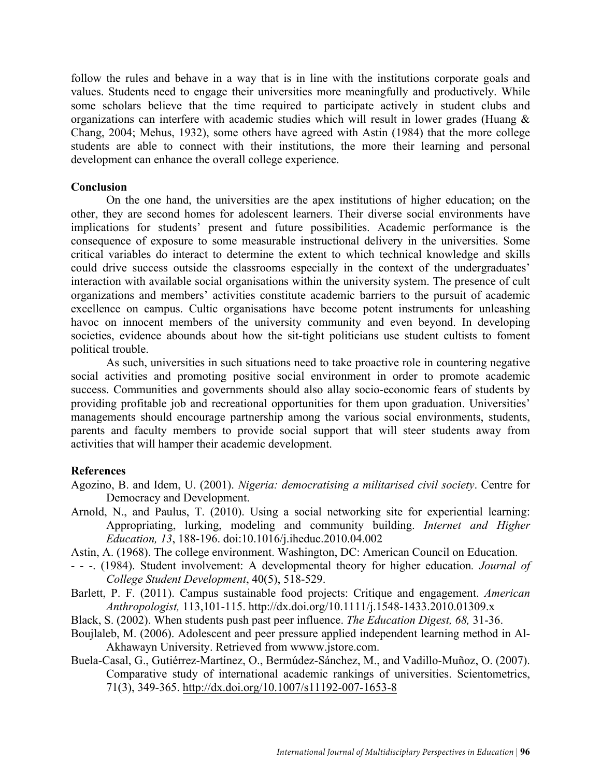follow the rules and behave in a way that is in line with the institutions corporate goals and values. Students need to engage their universities more meaningfully and productively. While some scholars believe that the time required to participate actively in student clubs and organizations can interfere with academic studies which will result in lower grades (Huang & Chang, 2004; Mehus, 1932), some others have agreed with Astin (1984) that the more college students are able to connect with their institutions, the more their learning and personal development can enhance the overall college experience.

#### **Conclusion**

On the one hand, the universities are the apex institutions of higher education; on the other, they are second homes for adolescent learners. Their diverse social environments have implications for students' present and future possibilities. Academic performance is the consequence of exposure to some measurable instructional delivery in the universities. Some critical variables do interact to determine the extent to which technical knowledge and skills could drive success outside the classrooms especially in the context of the undergraduates' interaction with available social organisations within the university system. The presence of cult organizations and members' activities constitute academic barriers to the pursuit of academic excellence on campus. Cultic organisations have become potent instruments for unleashing havoc on innocent members of the university community and even beyond. In developing societies, evidence abounds about how the sit-tight politicians use student cultists to foment political trouble.

As such, universities in such situations need to take proactive role in countering negative social activities and promoting positive social environment in order to promote academic success. Communities and governments should also allay socio-economic fears of students by providing profitable job and recreational opportunities for them upon graduation. Universities' managements should encourage partnership among the various social environments, students, parents and faculty members to provide social support that will steer students away from activities that will hamper their academic development.

## **References**

- Agozino, B. and Idem, U. (2001). *Nigeria: democratising a militarised civil society*. Centre for Democracy and Development.
- Arnold, N., and Paulus, T. (2010). Using a social networking site for experiential learning: Appropriating, lurking, modeling and community building. *Internet and Higher Education, 13*, 188-196. doi:10.1016/j.iheduc.2010.04.002
- Astin, A. (1968). The college environment. Washington, DC: American Council on Education.
- - -. (1984). Student involvement: A developmental theory for higher education*. Journal of College Student Development*, 40(5), 518-529.
- Barlett, P. F. (2011). Campus sustainable food projects: Critique and engagement. *American Anthropologist,* 113,101-115. http://dx.doi.org/10.1111/j.1548-1433.2010.01309.x
- Black, S. (2002). When students push past peer influence. *The Education Digest, 68,* 31-36.
- Boujlaleb, M. (2006). Adolescent and peer pressure applied independent learning method in Al-Akhawayn University. Retrieved from wwww.jstore.com.
- Buela-Casal, G., Gutiérrez-Martínez, O., Bermúdez-Sánchez, M., and Vadillo-Muñoz, O. (2007). Comparative study of international academic rankings of universities. Scientometrics, 71(3), 349-365. http://dx.doi.org/10.1007/s11192-007-1653-8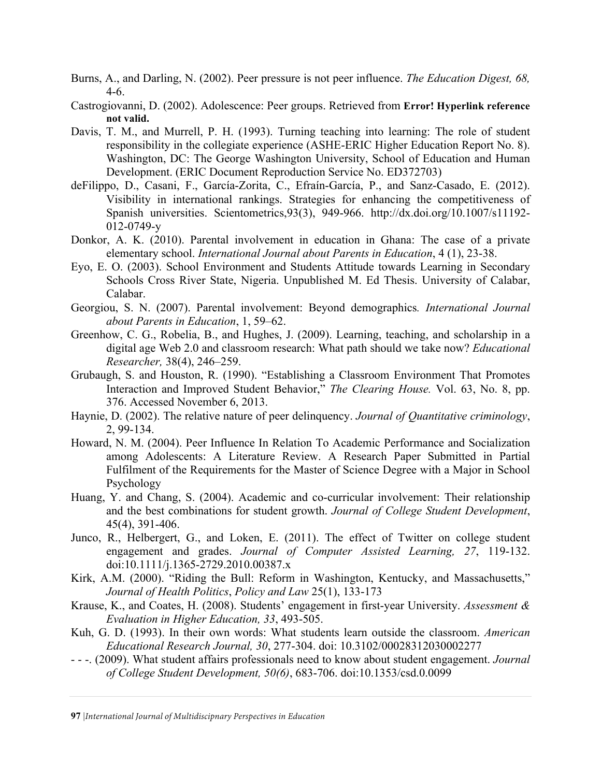- Burns, A., and Darling, N. (2002). Peer pressure is not peer influence. *The Education Digest, 68,*  4-6.
- Castrogiovanni, D. (2002). Adolescence: Peer groups. Retrieved from **Error! Hyperlink reference not valid.**
- Davis, T. M., and Murrell, P. H. (1993). Turning teaching into learning: The role of student responsibility in the collegiate experience (ASHE-ERIC Higher Education Report No. 8). Washington, DC: The George Washington University, School of Education and Human Development. (ERIC Document Reproduction Service No. ED372703)
- deFilippo, D., Casani, F., García-Zorita, C., Efraín-García, P., and Sanz-Casado, E. (2012). Visibility in international rankings. Strategies for enhancing the competitiveness of Spanish universities. Scientometrics,93(3), 949-966. http://dx.doi.org/10.1007/s11192- 012-0749-y
- Donkor, A. K. (2010). Parental involvement in education in Ghana: The case of a private elementary school. *International Journal about Parents in Education*, 4 (1), 23-38.
- Eyo, E. O. (2003). School Environment and Students Attitude towards Learning in Secondary Schools Cross River State, Nigeria. Unpublished M. Ed Thesis. University of Calabar, Calabar.
- Georgiou, S. N. (2007). Parental involvement: Beyond demographics*. International Journal about Parents in Education*, 1, 59–62.
- Greenhow, C. G., Robelia, B., and Hughes, J. (2009). Learning, teaching, and scholarship in a digital age Web 2.0 and classroom research: What path should we take now? *Educational Researcher,* 38(4), 246–259.
- Grubaugh, S. and Houston, R. (1990). "Establishing a Classroom Environment That Promotes Interaction and Improved Student Behavior," *The Clearing House.* Vol. 63, No. 8, pp. 376. Accessed November 6, 2013.
- Haynie, D. (2002). The relative nature of peer delinquency. *Journal of Quantitative criminology*, 2, 99-134.
- Howard, N. M. (2004). Peer Influence In Relation To Academic Performance and Socialization among Adolescents: A Literature Review. A Research Paper Submitted in Partial Fulfilment of the Requirements for the Master of Science Degree with a Major in School Psychology
- Huang, Y. and Chang, S. (2004). Academic and co-curricular involvement: Their relationship and the best combinations for student growth. *Journal of College Student Development*, 45(4), 391-406.
- Junco, R., Helbergert, G., and Loken, E. (2011). The effect of Twitter on college student engagement and grades. *Journal of Computer Assisted Learning, 27*, 119-132. doi:10.1111/j.1365-2729.2010.00387.x
- Kirk, A.M. (2000). "Riding the Bull: Reform in Washington, Kentucky, and Massachusetts," *Journal of Health Politics*, *Policy and Law* 25(1), 133-173
- Krause, K., and Coates, H. (2008). Students' engagement in first-year University. *Assessment & Evaluation in Higher Education, 33*, 493-505.
- Kuh, G. D. (1993). In their own words: What students learn outside the classroom. *American Educational Research Journal, 30*, 277-304. doi: 10.3102/00028312030002277
- - -. (2009). What student affairs professionals need to know about student engagement. *Journal of College Student Development, 50(6)*, 683-706. doi:10.1353/csd.0.0099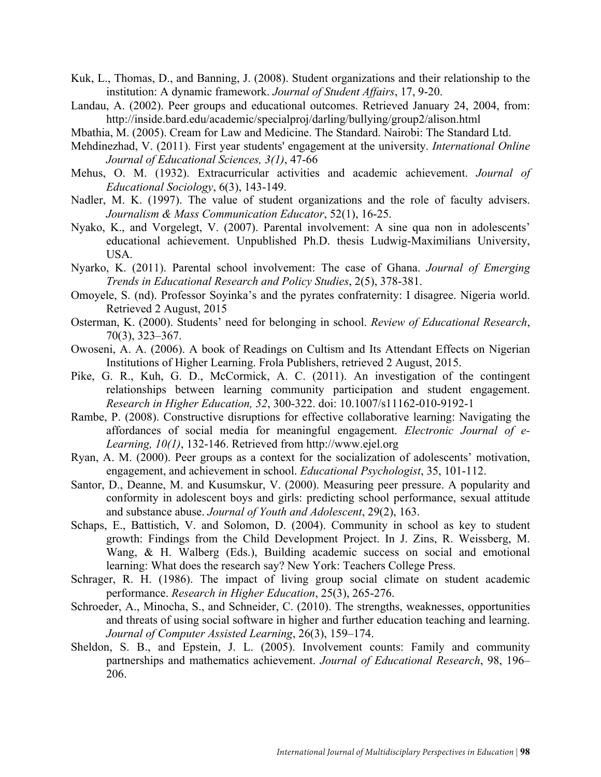- Kuk, L., Thomas, D., and Banning, J. (2008). Student organizations and their relationship to the institution: A dynamic framework. *Journal of Student Affairs*, 17, 9-20.
- Landau, A. (2002). Peer groups and educational outcomes. Retrieved January 24, 2004, from: http://inside.bard.edu/academic/specialproj/darling/bullying/group2/alison.html
- Mbathia, M. (2005). Cream for Law and Medicine. The Standard. Nairobi: The Standard Ltd.
- Mehdinezhad, V. (2011). First year students' engagement at the university. *International Online Journal of Educational Sciences, 3(1)*, 47-66
- Mehus, O. M. (1932). Extracurricular activities and academic achievement. *Journal of Educational Sociology*, 6(3), 143-149.
- Nadler, M. K. (1997). The value of student organizations and the role of faculty advisers. *Journalism & Mass Communication Educator*, 52(1), 16-25.
- Nyako, K., and Vorgelegt, V. (2007). Parental involvement: A sine qua non in adolescents' educational achievement. Unpublished Ph.D. thesis Ludwig-Maximilians University, USA.
- Nyarko, K. (2011). Parental school involvement: The case of Ghana. *Journal of Emerging Trends in Educational Research and Policy Studies*, 2(5), 378-381.
- Omoyele, S. (nd). Professor Soyinka's and the pyrates confraternity: I disagree. Nigeria world. Retrieved 2 August, 2015
- Osterman, K. (2000). Students' need for belonging in school. *Review of Educational Research*, 70(3), 323–367.
- Owoseni, A. A. (2006). A book of Readings on Cultism and Its Attendant Effects on Nigerian Institutions of Higher Learning. Frola Publishers, retrieved 2 August, 2015.
- Pike, G. R., Kuh, G. D., McCormick, A. C. (2011). An investigation of the contingent relationships between learning community participation and student engagement. *Research in Higher Education, 52*, 300-322. doi: 10.1007/s11162-010-9192-1
- Rambe, P. (2008). Constructive disruptions for effective collaborative learning: Navigating the affordances of social media for meaningful engagement. *Electronic Journal of e-Learning, 10(1)*, 132-146. Retrieved from http://www.ejel.org
- Ryan, A. M. (2000). Peer groups as a context for the socialization of adolescents' motivation, engagement, and achievement in school. *Educational Psychologist*, 35, 101-112.
- Santor, D., Deanne, M. and Kusumskur, V. (2000). Measuring peer pressure. A popularity and conformity in adolescent boys and girls: predicting school performance, sexual attitude and substance abuse. *Journal of Youth and Adolescent*, 29(2), 163.
- Schaps, E., Battistich, V. and Solomon, D. (2004). Community in school as key to student growth: Findings from the Child Development Project. In J. Zins, R. Weissberg, M. Wang, & H. Walberg (Eds.), Building academic success on social and emotional learning: What does the research say? New York: Teachers College Press.
- Schrager, R. H. (1986). The impact of living group social climate on student academic performance. *Research in Higher Education*, 25(3), 265-276.
- Schroeder, A., Minocha, S., and Schneider, C. (2010). The strengths, weaknesses, opportunities and threats of using social software in higher and further education teaching and learning. *Journal of Computer Assisted Learning*, 26(3), 159–174.
- Sheldon, S. B., and Epstein, J. L. (2005). Involvement counts: Family and community partnerships and mathematics achievement. *Journal of Educational Research*, 98, 196– 206.